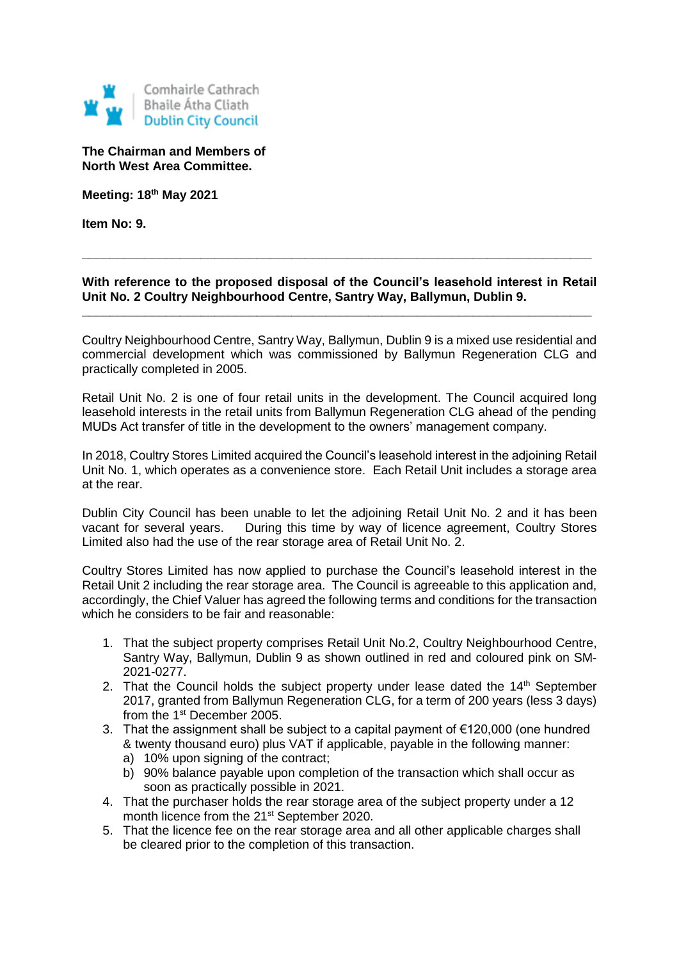

**The Chairman and Members of North West Area Committee.**

**Meeting: 18th May 2021**

**Item No: 9.**

## **With reference to the proposed disposal of the Council's leasehold interest in Retail Unit No. 2 Coultry Neighbourhood Centre, Santry Way, Ballymun, Dublin 9.**

**\_\_\_\_\_\_\_\_\_\_\_\_\_\_\_\_\_\_\_\_\_\_\_\_\_\_\_\_\_\_\_\_\_\_\_\_\_\_\_\_\_\_\_\_\_\_\_\_\_\_\_\_\_\_\_\_\_\_\_\_\_\_\_\_\_\_\_\_\_\_\_\_\_**

**\_\_\_\_\_\_\_\_\_\_\_\_\_\_\_\_\_\_\_\_\_\_\_\_\_\_\_\_\_\_\_\_\_\_\_\_\_\_\_\_\_\_\_\_\_\_\_\_\_\_\_\_\_\_\_\_\_\_\_\_\_\_\_\_\_\_\_\_\_\_\_\_\_**

Coultry Neighbourhood Centre, Santry Way, Ballymun, Dublin 9 is a mixed use residential and commercial development which was commissioned by Ballymun Regeneration CLG and practically completed in 2005.

Retail Unit No. 2 is one of four retail units in the development. The Council acquired long leasehold interests in the retail units from Ballymun Regeneration CLG ahead of the pending MUDs Act transfer of title in the development to the owners' management company.

In 2018, Coultry Stores Limited acquired the Council's leasehold interest in the adjoining Retail Unit No. 1, which operates as a convenience store. Each Retail Unit includes a storage area at the rear.

Dublin City Council has been unable to let the adjoining Retail Unit No. 2 and it has been vacant for several years. During this time by way of licence agreement, Coultry Stores Limited also had the use of the rear storage area of Retail Unit No. 2.

Coultry Stores Limited has now applied to purchase the Council's leasehold interest in the Retail Unit 2 including the rear storage area. The Council is agreeable to this application and, accordingly, the Chief Valuer has agreed the following terms and conditions for the transaction which he considers to be fair and reasonable:

- 1. That the subject property comprises Retail Unit No.2, Coultry Neighbourhood Centre, Santry Way, Ballymun, Dublin 9 as shown outlined in red and coloured pink on SM-2021-0277.
- 2. That the Council holds the subject property under lease dated the  $14<sup>th</sup>$  September 2017, granted from Ballymun Regeneration CLG, for a term of 200 years (less 3 days) from the 1<sup>st</sup> December 2005.
- 3. That the assignment shall be subject to a capital payment of €120,000 (one hundred & twenty thousand euro) plus VAT if applicable, payable in the following manner:
	- a) 10% upon signing of the contract:
	- b) 90% balance payable upon completion of the transaction which shall occur as soon as practically possible in 2021.
- 4. That the purchaser holds the rear storage area of the subject property under a 12 month licence from the 21<sup>st</sup> September 2020.
- 5. That the licence fee on the rear storage area and all other applicable charges shall be cleared prior to the completion of this transaction.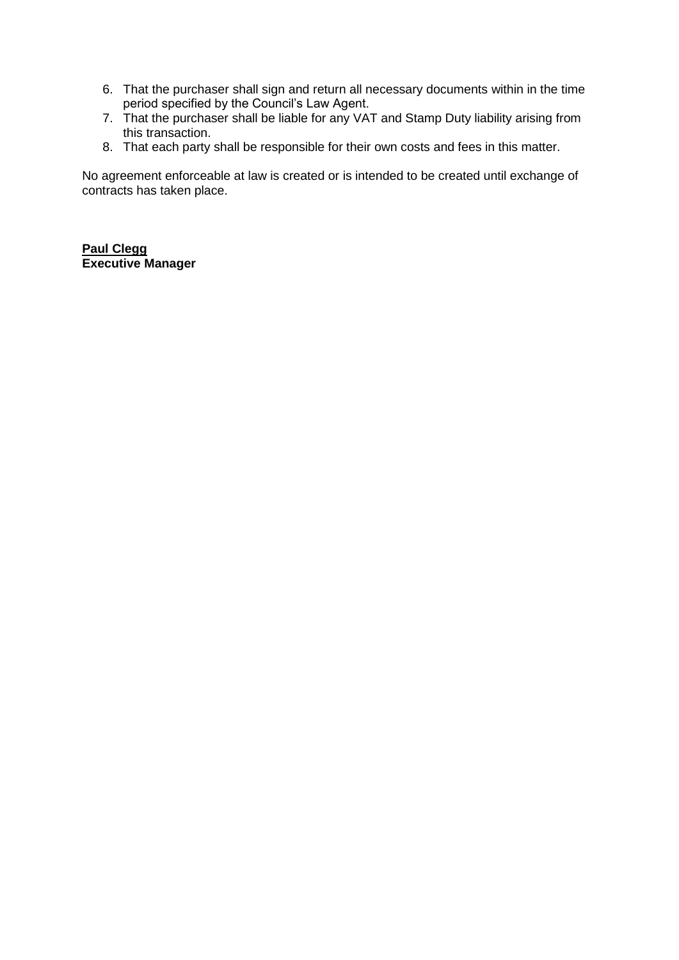- 6. That the purchaser shall sign and return all necessary documents within in the time period specified by the Council's Law Agent.
- 7. That the purchaser shall be liable for any VAT and Stamp Duty liability arising from this transaction.
- 8. That each party shall be responsible for their own costs and fees in this matter.

No agreement enforceable at law is created or is intended to be created until exchange of contracts has taken place.

**Paul Clegg Executive Manager**